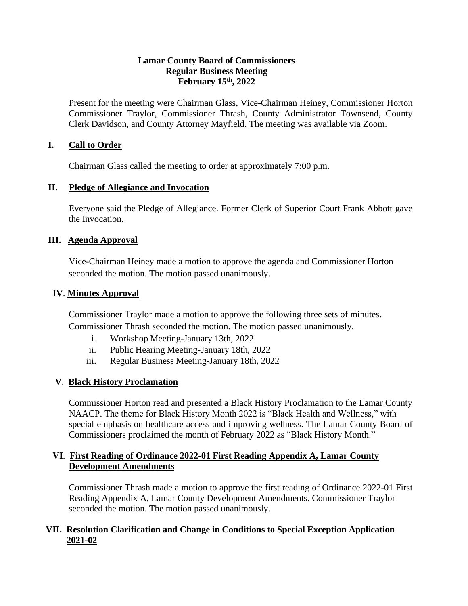### **Lamar County Board of Commissioners Regular Business Meeting February 15th, 2022**

Present for the meeting were Chairman Glass, Vice-Chairman Heiney, Commissioner Horton Commissioner Traylor, Commissioner Thrash, County Administrator Townsend, County Clerk Davidson, and County Attorney Mayfield. The meeting was available via Zoom.

## **I. Call to Order**

Chairman Glass called the meeting to order at approximately 7:00 p.m.

## **II. Pledge of Allegiance and Invocation**

Everyone said the Pledge of Allegiance. Former Clerk of Superior Court Frank Abbott gave the Invocation.

## **III. Agenda Approval**

Vice-Chairman Heiney made a motion to approve the agenda and Commissioner Horton seconded the motion. The motion passed unanimously.

## **IV**. **Minutes Approval**

Commissioner Traylor made a motion to approve the following three sets of minutes. Commissioner Thrash seconded the motion. The motion passed unanimously.

- i. Workshop Meeting-January 13th, 2022
- ii. Public Hearing Meeting-January 18th, 2022
- iii. Regular Business Meeting-January 18th, 2022

## **V**. **Black History Proclamation**

Commissioner Horton read and presented a Black History Proclamation to the Lamar County NAACP. The theme for Black History Month 2022 is "Black Health and Wellness," with special emphasis on healthcare access and improving wellness. The Lamar County Board of Commissioners proclaimed the month of February 2022 as "Black History Month."

## **VI**. **First Reading of Ordinance 2022-01 First Reading Appendix A, Lamar County Development Amendments**

Commissioner Thrash made a motion to approve the first reading of Ordinance 2022-01 First Reading Appendix A, Lamar County Development Amendments. Commissioner Traylor seconded the motion. The motion passed unanimously.

## **VII. Resolution Clarification and Change in Conditions to Special Exception Application 2021-02**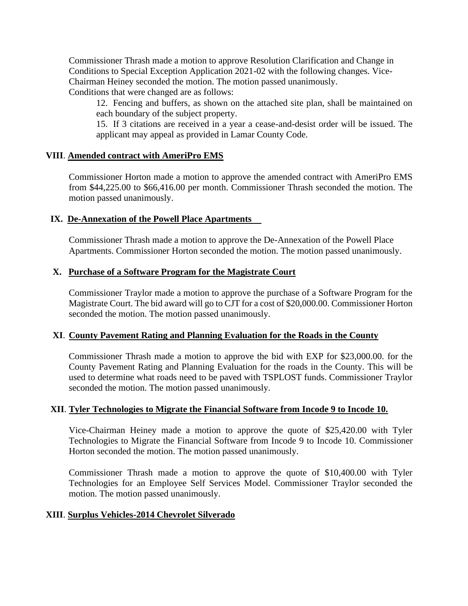Commissioner Thrash made a motion to approve Resolution Clarification and Change in Conditions to Special Exception Application 2021-02 with the following changes. Vice-Chairman Heiney seconded the motion. The motion passed unanimously.

Conditions that were changed are as follows:

12. Fencing and buffers, as shown on the attached site plan, shall be maintained on each boundary of the subject property.

15. If 3 citations are received in a year a cease-and-desist order will be issued. The applicant may appeal as provided in Lamar County Code.

#### **VIII**. **Amended contract with AmeriPro EMS**

 Commissioner Horton made a motion to approve the amended contract with AmeriPro EMS from \$44,225.00 to \$66,416.00 per month. Commissioner Thrash seconded the motion. The motion passed unanimously.

### **IX. De-Annexation of the Powell Place Apartments**

Commissioner Thrash made a motion to approve the De-Annexation of the Powell Place Apartments. Commissioner Horton seconded the motion. The motion passed unanimously.

### **X. Purchase of a Software Program for the Magistrate Court**

Commissioner Traylor made a motion to approve the purchase of a Software Program for the Magistrate Court. The bid award will go to CJT for a cost of \$20,000.00. Commissioner Horton seconded the motion. The motion passed unanimously.

## **XI**. **County Pavement Rating and Planning Evaluation for the Roads in the County**

Commissioner Thrash made a motion to approve the bid with EXP for \$23,000.00. for the County Pavement Rating and Planning Evaluation for the roads in the County. This will be used to determine what roads need to be paved with TSPLOST funds. Commissioner Traylor seconded the motion. The motion passed unanimously.

#### **XII**. **Tyler Technologies to Migrate the Financial Software from Incode 9 to Incode 10.**

Vice-Chairman Heiney made a motion to approve the quote of \$25,420.00 with Tyler Technologies to Migrate the Financial Software from Incode 9 to Incode 10. Commissioner Horton seconded the motion. The motion passed unanimously.

 Commissioner Thrash made a motion to approve the quote of \$10,400.00 with Tyler Technologies for an Employee Self Services Model. Commissioner Traylor seconded the motion. The motion passed unanimously.

## **XIII**. **Surplus Vehicles-2014 Chevrolet Silverado**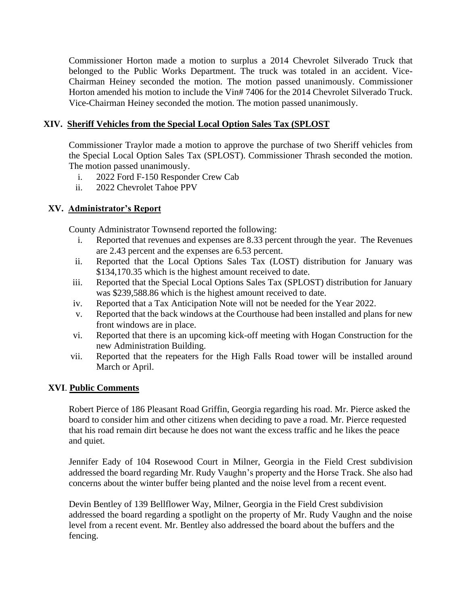Commissioner Horton made a motion to surplus a 2014 Chevrolet Silverado Truck that belonged to the Public Works Department. The truck was totaled in an accident. Vice-Chairman Heiney seconded the motion. The motion passed unanimously. Commissioner Horton amended his motion to include the Vin# 7406 for the 2014 Chevrolet Silverado Truck. Vice-Chairman Heiney seconded the motion. The motion passed unanimously.

## **XIV. Sheriff Vehicles from the Special Local Option Sales Tax (SPLOST**

Commissioner Traylor made a motion to approve the purchase of two Sheriff vehicles from the Special Local Option Sales Tax (SPLOST). Commissioner Thrash seconded the motion. The motion passed unanimously.

- i. 2022 Ford F-150 Responder Crew Cab
- ii. 2022 Chevrolet Tahoe PPV

# **XV. Administrator's Report**

County Administrator Townsend reported the following:

- i. Reported that revenues and expenses are 8.33 percent through the year. The Revenues are 2.43 percent and the expenses are 6.53 percent.
- ii. Reported that the Local Options Sales Tax (LOST) distribution for January was \$134,170.35 which is the highest amount received to date.
- iii. Reported that the Special Local Options Sales Tax (SPLOST) distribution for January was \$239,588.86 which is the highest amount received to date.
- iv. Reported that a Tax Anticipation Note will not be needed for the Year 2022.
- v. Reported that the back windows at the Courthouse had been installed and plans for new front windows are in place.
- vi. Reported that there is an upcoming kick-off meeting with Hogan Construction for the new Administration Building.
- vii. Reported that the repeaters for the High Falls Road tower will be installed around March or April.

## **XVI**. **Public Comments**

Robert Pierce of 186 Pleasant Road Griffin, Georgia regarding his road. Mr. Pierce asked the board to consider him and other citizens when deciding to pave a road. Mr. Pierce requested that his road remain dirt because he does not want the excess traffic and he likes the peace and quiet.

Jennifer Eady of 104 Rosewood Court in Milner, Georgia in the Field Crest subdivision addressed the board regarding Mr. Rudy Vaughn's property and the Horse Track. She also had concerns about the winter buffer being planted and the noise level from a recent event.

Devin Bentley of 139 Bellflower Way, Milner, Georgia in the Field Crest subdivision addressed the board regarding a spotlight on the property of Mr. Rudy Vaughn and the noise level from a recent event. Mr. Bentley also addressed the board about the buffers and the fencing.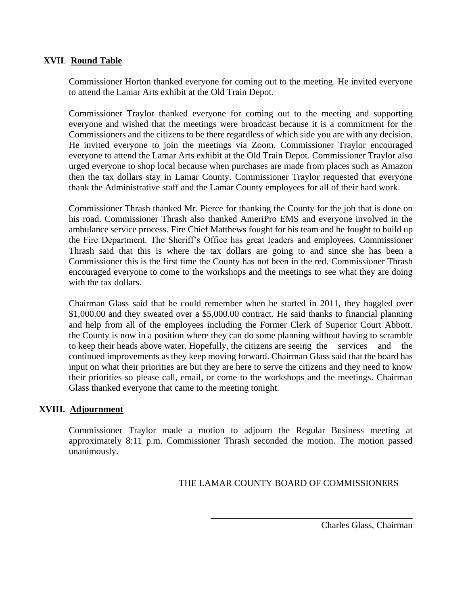### **XVII**. **Round Table**

 Commissioner Horton thanked everyone for coming out to the meeting. He invited everyone to attend the Lamar Arts exhibit at the Old Train Depot.

Commissioner Traylor thanked everyone for coming out to the meeting and supporting everyone and wished that the meetings were broadcast because it is a commitment for the Commissioners and the citizens to be there regardless of which side you are with any decision. He invited everyone to join the meetings via Zoom. Commissioner Traylor encouraged everyone to attend the Lamar Arts exhibit at the Old Train Depot. Commissioner Traylor also urged everyone to shop local because when purchases are made from places such as Amazon then the tax dollars stay in Lamar County. Commissioner Traylor requested that everyone thank the Administrative staff and the Lamar County employees for all of their hard work.

Commissioner Thrash thanked Mr. Pierce for thanking the County for the job that is done on his road. Commissioner Thrash also thanked AmeriPro EMS and everyone involved in the ambulance service process. Fire Chief Matthews fought for his team and he fought to build up the Fire Department. The Sheriff's Office has great leaders and employees. Commissioner Thrash said that this is where the tax dollars are going to and since she has been a Commissioner this is the first time the County has not been in the red. Commissioner Thrash encouraged everyone to come to the workshops and the meetings to see what they are doing with the tax dollars.

Chairman Glass said that he could remember when he started in 2011, they haggled over \$1,000.00 and they sweated over a \$5,000.00 contract. He said thanks to financial planning and help from all of the employees including the Former Clerk of Superior Court Abbott. the County is now in a position where they can do some planning without having to scramble to keep their heads above water. Hopefully, the citizens are seeing the services and the continued improvements as they keep moving forward. Chairman Glass said that the board has input on what their priorities are but they are here to serve the citizens and they need to know their priorities so please call, email, or come to the workshops and the meetings. Chairman Glass thanked everyone that came to the meeting tonight.

## **XVIII. Adjournment**

Commissioner Traylor made a motion to adjourn the Regular Business meeting at approximately 8:11 p.m. Commissioner Thrash seconded the motion. The motion passed unanimously.

## THE LAMAR COUNTY BOARD OF COMMISSIONERS

\_\_\_\_\_\_\_\_\_\_\_\_\_\_\_\_\_\_\_\_\_\_\_\_\_\_\_\_\_\_\_\_\_\_\_\_\_\_\_\_\_\_\_\_

Charles Glass, Chairman